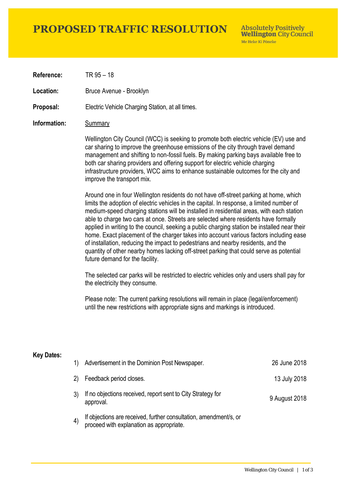# **PROPOSED TRAFFIC RESOLUTION**

**Absolutely Positively Wellington City Council** Me Heke Ki Pôneke

**Reference:** TR 95 – 18

Location: Bruce Avenue - Brooklyn

**Proposal:** Electric Vehicle Charging Station, at all times.

### **Information:** Summary

Wellington City Council (WCC) is seeking to promote both electric vehicle (EV) use and car sharing to improve the greenhouse emissions of the city through travel demand management and shifting to non-fossil fuels. By making parking bays available free to both car sharing providers and offering support for electric vehicle charging infrastructure providers, WCC aims to enhance sustainable outcomes for the city and improve the transport mix.

Around one in four Wellington residents do not have off-street parking at home, which limits the adoption of electric vehicles in the capital. In response, a limited number of medium-speed charging stations will be installed in residential areas, with each station able to charge two cars at once. Streets are selected where residents have formally applied in writing to the council, seeking a public charging station be installed near their home. Exact placement of the charger takes into account various factors including ease of installation, reducing the impact to pedestrians and nearby residents, and the quantity of other nearby homes lacking off-street parking that could serve as potential future demand for the facility.

The selected car parks will be restricted to electric vehicles only and users shall pay for the electricity they consume.

Please note: The current parking resolutions will remain in place (legal/enforcement) until the new restrictions with appropriate signs and markings is introduced.

#### **Key Dates:**

| 1)                | Advertisement in the Dominion Post Newspaper.                                                                 | 26 June 2018  |
|-------------------|---------------------------------------------------------------------------------------------------------------|---------------|
| 2)                | Feedback period closes.                                                                                       | 13 July 2018  |
|                   | If no objections received, report sent to City Strategy for<br>approval.                                      | 9 August 2018 |
| $\left( 4\right)$ | If objections are received, further consultation, amendment/s, or<br>proceed with explanation as appropriate. |               |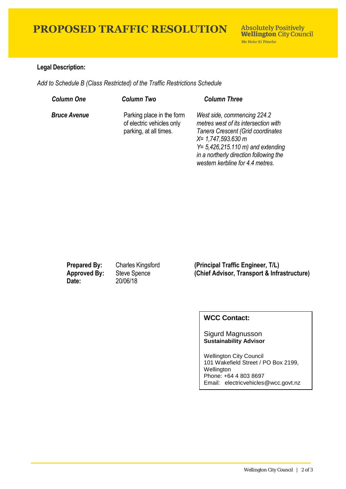# **PROPOSED TRAFFIC RESOLUTION**

## **Legal Description:**

*Add to Schedule B (Class Restricted) of the Traffic Restrictions Schedule* 

| <b>Column One</b>   | <b>Column Two</b>                                                                | <b>Column Three</b>                                                                                                                                                                                                                                            |
|---------------------|----------------------------------------------------------------------------------|----------------------------------------------------------------------------------------------------------------------------------------------------------------------------------------------------------------------------------------------------------------|
| <b>Bruce Avenue</b> | Parking place in the form<br>of electric vehicles only<br>parking, at all times. | West side, commencing 224.2<br>metres west of its intersection with<br>Tanera Crescent (Grid coordinates<br>$X = 1,747,593.630$ m<br>$Y = 5,426,215.110 \text{ m}$ and extending<br>in a northerly direction following the<br>western kerbline for 4.4 metres. |

**Date:** 20/06/18

**Prepared By:** Charles Kingsford **(Principal Traffic Engineer, T/L) Approved By:** Steve Spence **(Chief Advisor, Transport & Infrastructure)**

## **WCC Contact:**

#### Sigurd Magnusson **Sustainability Advisor**

Wellington City Council 101 Wakefield Street / PO Box 2199, Wellington Phone: +64 4 803 8697 Email: electricvehicles@wcc.govt.nz